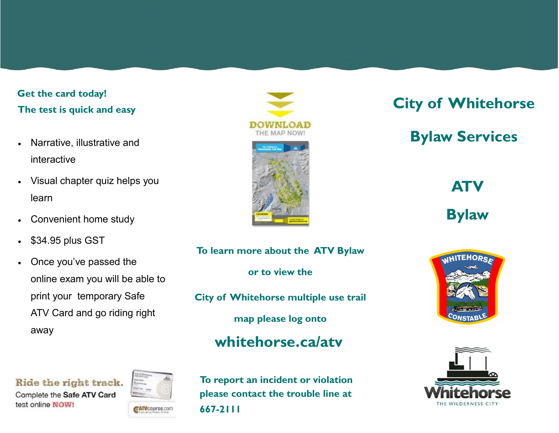### **Get the card today! The test is quick and easy**

- Narrative, illustrative and interactive
- Visual chapter quiz helps you learn
- Convenient home study
- \$34.95 plus GST
- Once you've passed the online exam you will be able to print your temporary Safe ATV Card and go riding right away



# **City of Whitehorse**

## **Bylaw Services**

**ATV** 

**Bylaw**

**To learn more about the ATV Bylaw or to view the City of Whitehorse multiple use trail map please log onto whitehorse.ca/atv**





Ride the right track.

Complete the Safe ATV Card test online NOW!



**To report an incident or violation please contact the trouble line at 667-2111**